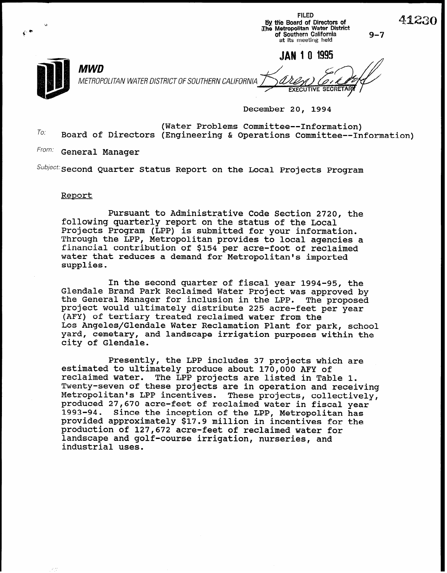| 59 | By the Board of Directors of<br>The Metropolitan Water District<br>of Southern California<br>at its meeting held | $9 - 7$ |
|----|------------------------------------------------------------------------------------------------------------------|---------|
|    | 1995<br><b>JAN 10</b><br>MWD<br>METROPOLITAN WATER DISTRICT OF SOUTHERN CALIFORNIA<br><b>EXECUTIVE SECRETARY</b> |         |

December 20, 1994

FILED

41230

To: (Water Problems Committee--Information) Board of Directors (Engineering & Operations Committee--Information)

From: General Manager

 $^{Subject:}$  Second Quarter Status Report on the Local Projects Program

#### Report

Pursuant to Administrative Code Section 2720, the following quarterly report on the status of the Local Projects Program (LPP) is submitted for your information. Through the LPP, Metropolitan provides to local agencies a financial contribution of \$154 per acre-foot of reclaimed water that reduces a demand for Metropolitan's imported supplies.

In the second quarter of fiscal year 1994-95, the Glendale Brand Park Reclaimed Water Project was approved by the General Manager for inclusion in the LPP. The proposed project would ultimately distribute 225 acre-feet per year (AFY) of tertiary treated reclaimed water from the Los Angeles/Glendale Water Reclamation Plant for park, school yard, cemetary, and landscape irrigation purposes within the city of Glendale.

Presently, the LPP includes 37 projects which are estimated to ultimately produce about 170,000 AFY of reclaimed water. The LPP projects are listed in Table 1. Twenty-seven of these projects are in operation and receiving Metropolitan's LPP incentives. These projects, collectively, produced 27,670 acre-feet of reclaimed water in fiscal year Since the inception of the LPP, Metropolitan has provided approximately \$17.9 million in incentives for the production of 127,672 acre-feet of reclaimed water for landscape and golf-course irrigation, nurseries, and industrial uses.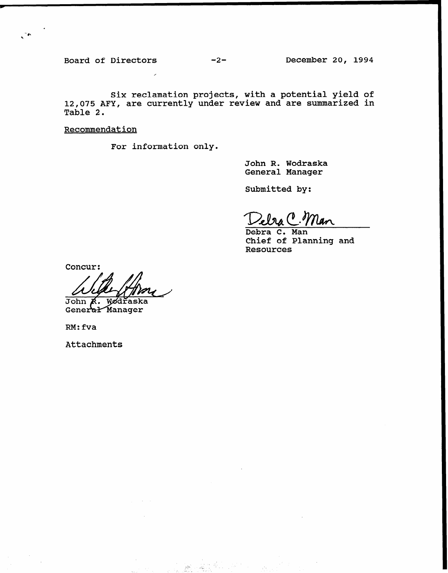Board of Directors -2- December 20, 1994

 $\mathcal{L}^{\mathcal{A}}$ 

Six reclamation projects, with a potential yield of 12,075 AFY, are currently under review and are summarized in Table 2.

**Recommendation** 

For information only.

John R. Wodraska General Manager

Submitted by:

Lebra C. lan

Debra C. Man Chief of Planning and Resources

Concur:

John K. Wodraska<br>General Manager

RM:fva

Attachments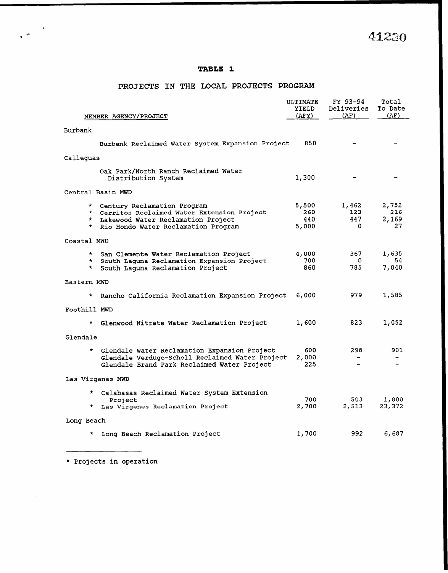41230

### TABLE 1

### PROJECTS IN THE LOCAL PROJECTS PROGRAM

| MEMBER AGENCY/PROJECT                                                                                                                                                   | ULTIMATE<br>YIELD<br>(AFY)   | FY 93-94<br>Deliveries<br>(AF) | Total<br>To Date<br>(AF)    |
|-------------------------------------------------------------------------------------------------------------------------------------------------------------------------|------------------------------|--------------------------------|-----------------------------|
|                                                                                                                                                                         |                              |                                |                             |
| Burbank                                                                                                                                                                 |                              |                                |                             |
| Burbank Reclaimed Water System Expansion Project                                                                                                                        | 850                          |                                |                             |
| Calleguas                                                                                                                                                               |                              |                                |                             |
| Oak Park/North Ranch Reclaimed Water<br>Distribution System                                                                                                             | 1,300                        |                                |                             |
| Central Basin MWD                                                                                                                                                       |                              |                                |                             |
| * Century Reclamation Program<br>* Cerritos Reclaimed Water Extension Project<br>* Lakewood Water Reclamation Project<br>Rio Hondo Water Reclamation Program<br>$\star$ | 5,500<br>260<br>440<br>5,000 | 1,462<br>123<br>447<br>0       | 2,752<br>216<br>2,169<br>27 |
| Coastal MWD                                                                                                                                                             |                              |                                |                             |
| * San Clemente Water Reclamation Project<br>* South Laguna Reclamation Expansion Project<br>South Laguna Reclamation Project<br>$\star$                                 | 4,000<br>700<br>860          | 367<br>O<br>785                | 1,635<br>54<br>7,040        |
| Eastern MWD                                                                                                                                                             |                              |                                |                             |
| Rancho California Reclamation Expansion Project                                                                                                                         | 6,000                        | 979                            | 1,585                       |
| Foothill MWD                                                                                                                                                            |                              |                                |                             |
| * Glenwood Nitrate Water Reclamation Project                                                                                                                            | 1,600                        | 823                            | 1,052                       |
| Glendale                                                                                                                                                                |                              |                                |                             |
| * Glendale Water Reclamation Expansion Project<br>Glendale Verdugo-Scholl Reclaimed Water Project<br>Glendale Brand Park Reclaimed Water Project                        | 600<br>2,000<br>225          | 298.                           | 901                         |
| Las Virgenes MWD                                                                                                                                                        |                              |                                |                             |
| * Calabasas Reclaimed Water System Extension<br>Project<br>Las Virgenes Reclamation Project<br>$\star$ .                                                                | 700<br>2,700                 | 503.<br>2,513                  | 1,800<br>23,372             |
| Long Beach                                                                                                                                                              |                              |                                |                             |
| Long Beach Reclamation Project<br>*                                                                                                                                     | 1,700                        | 992                            | 6,687                       |

\* Projects in operation

 $\ddot{\phantom{a}}$ 

 $\mathcal{A}$ 

 $\mathbf{r}_i$  (see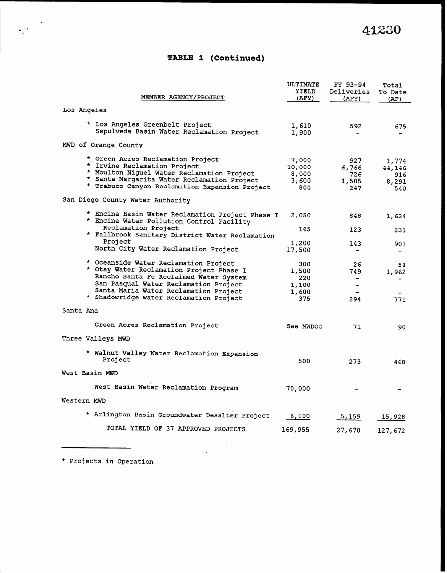## TABLE 1 (Continued)

|                      | MEMBER AGENCY/PROJECT                                                                                                                                                                                                                                    | ULTIMATE<br>YIELD<br>(AFY)                   | FY 93-94<br>Deliveries<br>(AFY)     | Total<br>To Date<br>(AF)               |  |  |  |  |
|----------------------|----------------------------------------------------------------------------------------------------------------------------------------------------------------------------------------------------------------------------------------------------------|----------------------------------------------|-------------------------------------|----------------------------------------|--|--|--|--|
|                      | Los Angeles                                                                                                                                                                                                                                              |                                              |                                     |                                        |  |  |  |  |
|                      | * Los Angeles Greenbelt Project<br>Sepulveda Basin Water Reclamation Project                                                                                                                                                                             | 1,610<br>1,900                               | 592                                 | 675                                    |  |  |  |  |
| MWD of Orange County |                                                                                                                                                                                                                                                          |                                              |                                     |                                        |  |  |  |  |
|                      | * Green Acres Reclamation Project<br>* Irvine Reclamation Project<br>* Moulton Niguel Water Reclamation Project<br>* Santa Margarita Water Reclamation Project<br>* Trabuco Canyon Reclamation Expansion Project                                         | 7,000<br>10,000<br>8,000<br>3,600<br>800     | 927<br>6,766<br>726<br>1,505<br>247 | 1,774<br>44,146<br>916<br>8,291<br>540 |  |  |  |  |
|                      | San Diego County Water Authority                                                                                                                                                                                                                         |                                              |                                     |                                        |  |  |  |  |
|                      | * Encina Basin Water Reclamation Project Phase I<br>* Encina Water Pollution Control Facility                                                                                                                                                            | 2,050                                        | 848                                 | 1,634                                  |  |  |  |  |
|                      | Reclamation Project<br>* Fallbrook Sanitary District Water Reclamation                                                                                                                                                                                   | 165                                          | 123                                 | 231                                    |  |  |  |  |
|                      | Project<br>North City Water Reclamation Project                                                                                                                                                                                                          | 1,200<br>17,500                              | 143                                 | 901                                    |  |  |  |  |
|                      | * Oceanside Water Reclamation Project<br>* Otay Water Reclamation Project Phase I<br>Rancho Santa Fe Reclaimed Water System<br>San Pasqual Water Reclamation Project<br>Santa Maria Water Reclamation Project<br>* Shadowridge Water Reclamation Project | 300<br>1,500<br>220<br>1,100<br>1,600<br>375 | 26<br>749.<br>$\rightarrow$<br>294  | 58<br>1,962<br>771                     |  |  |  |  |
| Santa Ana            |                                                                                                                                                                                                                                                          |                                              |                                     |                                        |  |  |  |  |
|                      | Green Acres Reclamation Project                                                                                                                                                                                                                          | See MWDOC                                    | 71                                  | 90                                     |  |  |  |  |
|                      | Three Valleys MWD                                                                                                                                                                                                                                        |                                              |                                     |                                        |  |  |  |  |
|                      | * Walnut Valley Water Reclamation Expansion<br>Project                                                                                                                                                                                                   | 500                                          | 273                                 | 468                                    |  |  |  |  |
| West Basin MWD       |                                                                                                                                                                                                                                                          |                                              |                                     |                                        |  |  |  |  |
|                      | West Basin Water Reclamation Program                                                                                                                                                                                                                     | 70,000                                       |                                     |                                        |  |  |  |  |
| Western MWD          |                                                                                                                                                                                                                                                          |                                              |                                     |                                        |  |  |  |  |
|                      | * Arlington Basin Groundwater Desalter Project                                                                                                                                                                                                           | 6,100                                        | 5,159                               | 15,928                                 |  |  |  |  |
|                      | TOTAL YIELD OF 37 APPROVED PROJECTS                                                                                                                                                                                                                      | 169,955                                      | 27,670                              | 127,672                                |  |  |  |  |
|                      |                                                                                                                                                                                                                                                          |                                              |                                     |                                        |  |  |  |  |

\* Projects in Operation

'